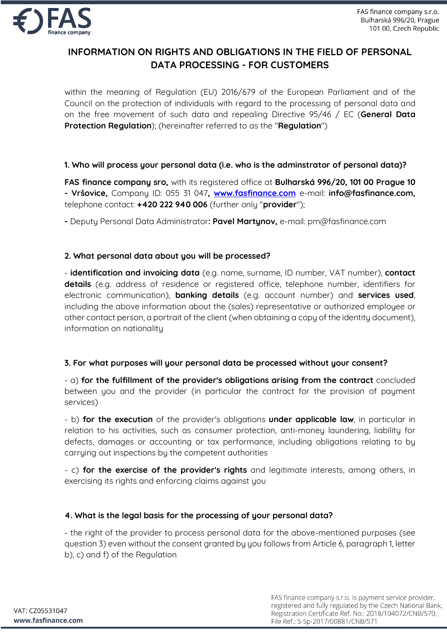

# **INFORMATION ON RIGHTS AND OBLIGATIONS IN THE FIELD OF PERSONAL DATA PROCESSING - FOR CUSTOMERS**

within the meaning of Regulation (EU) 2016/679 of the European Parliament and of the Council on the protection of individuals with regard to the processing of personal data and on the free movement of such data and repealing Directive 95/46 / EC (**General Data Protection Regulation**); (hereinafter referred to as the "**Regulation**")

## **1. Who will process your personal data (i.e. who is the adminstrator of personal data)?**

**FAS finance company sro,** with its registered office at **Bulharská 996/20, 101 00 Prague 10 - Vršovice,** Company ID: 055 31 047**, www.fasfinance.com** e-mail: **info@fasfinance.com,**  telephone contact: **+420 222 940 006** (further only "**provider**");

**-** Deputy Personal Data Administrator**: Pavel Martynov,** e-mail: pm@fasfinance.com

## **2. What personal data about you will be processed?**

- **identification and invoicing data** (e.g. name, surname, ID number, VAT number), **contact details** (e.g. address of residence or registered office, telephone number, identifiers for electronic communication), **banking details** (e.g. account number) and **services used**, including the above information about the (sales) representative or authorized employee or other contact person, a portrait of the client (when obtaining a copy of the identity document), information on nationality

#### **3. For what purposes will your personal data be processed without your consent?**

- a) **for the fulfillment of the provider's obligations arising from the contract** concluded between you and the provider (in particular the contract for the provision of payment services)

- b) **for the execution** of the provider's obligations **under applicable law**, in particular in relation to his activities, such as consumer protection, anti-money laundering, liability for defects, damages or accounting or tax performance, including obligations relating to by carrying out inspections by the competent authorities

- c) **for the exercise of the provider's rights** and legitimate interests, among others, in exercising its rights and enforcing claims against you

#### **4. What is the legal basis for the processing of your personal data?**

- the right of the provider to process personal data for the above-mentioned purposes (see question 3) even without the consent granted by you follows from Article 6, paragraph 1, letter b), c) and f) of the Regulation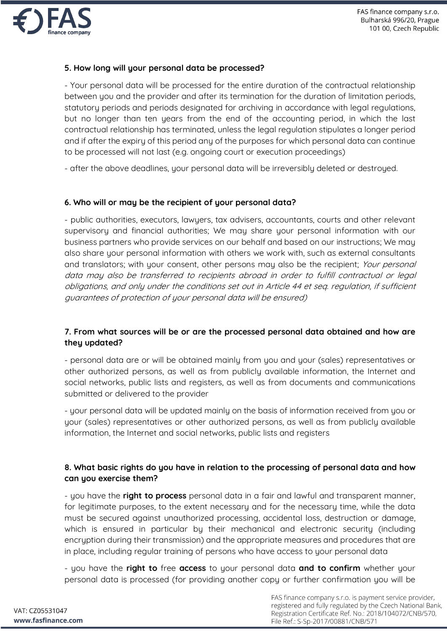

## **5. How long will your personal data be processed?**

- Your personal data will be processed for the entire duration of the contractual relationship between you and the provider and after its termination for the duration of limitation periods, statutory periods and periods designated for archiving in accordance with legal regulations, but no longer than ten years from the end of the accounting period, in which the last contractual relationship has terminated, unless the legal regulation stipulates a longer period and if after the expiry of this period any of the purposes for which personal data can continue to be processed will not last (e.g. ongoing court or execution proceedings)

- after the above deadlines, your personal data will be irreversibly deleted or destroyed.

#### **6. Who will or may be the recipient of your personal data?**

- public authorities, executors, lawyers, tax advisers, accountants, courts and other relevant supervisory and financial authorities; We may share your personal information with our business partners who provide services on our behalf and based on our instructions; We may also share your personal information with others we work with, such as external consultants and translators; with your consent, other persons may also be the recipient; Your personal data may also be transferred to recipients abroad in order to fulfill contractual or legal obligations, and only under the conditions set out in Article 44 et seq. regulation, if sufficient guarantees of protection of your personal data will be ensured)

## **7. From what sources will be or are the processed personal data obtained and how are they updated?**

- personal data are or will be obtained mainly from you and your (sales) representatives or other authorized persons, as well as from publicly available information, the Internet and social networks, public lists and registers, as well as from documents and communications submitted or delivered to the provider

- your personal data will be updated mainly on the basis of information received from you or your (sales) representatives or other authorized persons, as well as from publicly available information, the Internet and social networks, public lists and registers

#### **8. What basic rights do you have in relation to the processing of personal data and how can you exercise them?**

- you have the **right to process** personal data in a fair and lawful and transparent manner, for legitimate purposes, to the extent necessary and for the necessary time, while the data must be secured against unauthorized processing, accidental loss, destruction or damage, which is ensured in particular by their mechanical and electronic security (including encryption during their transmission) and the appropriate measures and procedures that are in place, including regular training of persons who have access to your personal data

- you have the **right to** free **access** to your personal data **and to confirm** whether your personal data is processed (for providing another copy or further confirmation you will be